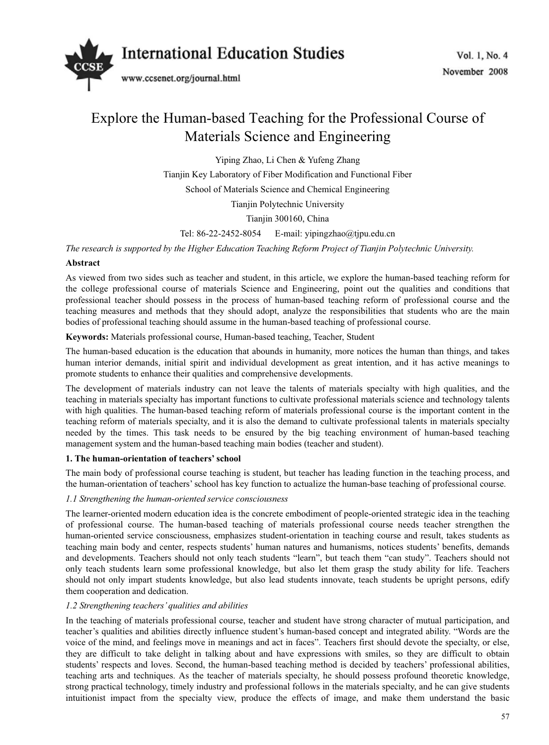

# Explore the Human-based Teaching for the Professional Course of Materials Science and Engineering

Yiping Zhao, Li Chen & Yufeng Zhang

Tianjin Key Laboratory of Fiber Modification and Functional Fiber

School of Materials Science and Chemical Engineering

Tianjin Polytechnic University

Tianjin 300160, China

Tel:  $86-22-2452-8054$  E-mail: yipingzhao@tjpu.edu.cn

*The research is supported by the Higher Education Teaching Reform Project of Tianjin Polytechnic University.* 

# **Abstract**

As viewed from two sides such as teacher and student, in this article, we explore the human-based teaching reform for the college professional course of materials Science and Engineering, point out the qualities and conditions that professional teacher should possess in the process of human-based teaching reform of professional course and the teaching measures and methods that they should adopt, analyze the responsibilities that students who are the main bodies of professional teaching should assume in the human-based teaching of professional course.

**Keywords:** Materials professional course, Human-based teaching, Teacher, Student

The human-based education is the education that abounds in humanity, more notices the human than things, and takes human interior demands, initial spirit and individual development as great intention, and it has active meanings to promote students to enhance their qualities and comprehensive developments.

The development of materials industry can not leave the talents of materials specialty with high qualities, and the teaching in materials specialty has important functions to cultivate professional materials science and technology talents with high qualities. The human-based teaching reform of materials professional course is the important content in the teaching reform of materials specialty, and it is also the demand to cultivate professional talents in materials specialty needed by the times. This task needs to be ensured by the big teaching environment of human-based teaching management system and the human-based teaching main bodies (teacher and student).

# **1. The human-orientation of teachers' school**

The main body of professional course teaching is student, but teacher has leading function in the teaching process, and the human-orientation of teachers' school has key function to actualize the human-base teaching of professional course.

# *1.1 Strengthening the human-oriented service consciousness*

The learner-oriented modern education idea is the concrete embodiment of people-oriented strategic idea in the teaching of professional course. The human-based teaching of materials professional course needs teacher strengthen the human-oriented service consciousness, emphasizes student-orientation in teaching course and result, takes students as teaching main body and center, respects students' human natures and humanisms, notices students' benefits, demands and developments. Teachers should not only teach students "learn", but teach them "can study". Teachers should not only teach students learn some professional knowledge, but also let them grasp the study ability for life. Teachers should not only impart students knowledge, but also lead students innovate, teach students be upright persons, edify them cooperation and dedication.

# *1.2 Strengthening teachers' qualities and abilities*

In the teaching of materials professional course, teacher and student have strong character of mutual participation, and teacher's qualities and abilities directly influence student's human-based concept and integrated ability. "Words are the voice of the mind, and feelings move in meanings and act in faces". Teachers first should devote the specialty, or else, they are difficult to take delight in talking about and have expressions with smiles, so they are difficult to obtain students' respects and loves. Second, the human-based teaching method is decided by teachers' professional abilities, teaching arts and techniques. As the teacher of materials specialty, he should possess profound theoretic knowledge, strong practical technology, timely industry and professional follows in the materials specialty, and he can give students intuitionist impact from the specialty view, produce the effects of image, and make them understand the basic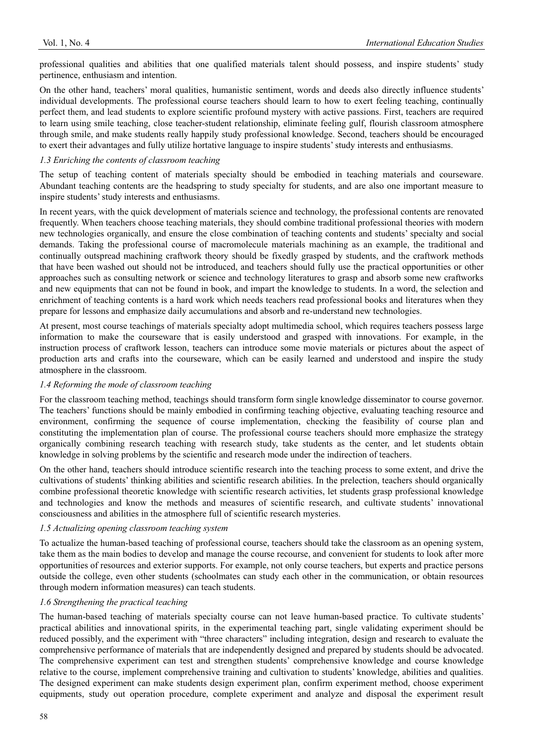professional qualities and abilities that one qualified materials talent should possess, and inspire students' study pertinence, enthusiasm and intention.

On the other hand, teachers' moral qualities, humanistic sentiment, words and deeds also directly influence students' individual developments. The professional course teachers should learn to how to exert feeling teaching, continually perfect them, and lead students to explore scientific profound mystery with active passions. First, teachers are required to learn using smile teaching, close teacher-student relationship, eliminate feeling gulf, flourish classroom atmosphere through smile, and make students really happily study professional knowledge. Second, teachers should be encouraged to exert their advantages and fully utilize hortative language to inspire students' study interests and enthusiasms.

## *1.3 Enriching the contents of classroom teaching*

The setup of teaching content of materials specialty should be embodied in teaching materials and courseware. Abundant teaching contents are the headspring to study specialty for students, and are also one important measure to inspire students' study interests and enthusiasms.

In recent years, with the quick development of materials science and technology, the professional contents are renovated frequently. When teachers choose teaching materials, they should combine traditional professional theories with modern new technologies organically, and ensure the close combination of teaching contents and students' specialty and social demands. Taking the professional course of macromolecule materials machining as an example, the traditional and continually outspread machining craftwork theory should be fixedly grasped by students, and the craftwork methods that have been washed out should not be introduced, and teachers should fully use the practical opportunities or other approaches such as consulting network or science and technology literatures to grasp and absorb some new craftworks and new equipments that can not be found in book, and impart the knowledge to students. In a word, the selection and enrichment of teaching contents is a hard work which needs teachers read professional books and literatures when they prepare for lessons and emphasize daily accumulations and absorb and re-understand new technologies.

At present, most course teachings of materials specialty adopt multimedia school, which requires teachers possess large information to make the courseware that is easily understood and grasped with innovations. For example, in the instruction process of craftwork lesson, teachers can introduce some movie materials or pictures about the aspect of production arts and crafts into the courseware, which can be easily learned and understood and inspire the study atmosphere in the classroom.

## *1.4 Reforming the mode of classroom teaching*

For the classroom teaching method, teachings should transform form single knowledge disseminator to course governor. The teachers' functions should be mainly embodied in confirming teaching objective, evaluating teaching resource and environment, confirming the sequence of course implementation, checking the feasibility of course plan and constituting the implementation plan of course. The professional course teachers should more emphasize the strategy organically combining research teaching with research study, take students as the center, and let students obtain knowledge in solving problems by the scientific and research mode under the indirection of teachers.

On the other hand, teachers should introduce scientific research into the teaching process to some extent, and drive the cultivations of students' thinking abilities and scientific research abilities. In the prelection, teachers should organically combine professional theoretic knowledge with scientific research activities, let students grasp professional knowledge and technologies and know the methods and measures of scientific research, and cultivate students' innovational consciousness and abilities in the atmosphere full of scientific research mysteries.

## *1.5 Actualizing opening classroom teaching system*

To actualize the human-based teaching of professional course, teachers should take the classroom as an opening system, take them as the main bodies to develop and manage the course recourse, and convenient for students to look after more opportunities of resources and exterior supports. For example, not only course teachers, but experts and practice persons outside the college, even other students (schoolmates can study each other in the communication, or obtain resources through modern information measures) can teach students.

## *1.6 Strengthening the practical teaching*

The human-based teaching of materials specialty course can not leave human-based practice. To cultivate students' practical abilities and innovational spirits, in the experimental teaching part, single validating experiment should be reduced possibly, and the experiment with "three characters" including integration, design and research to evaluate the comprehensive performance of materials that are independently designed and prepared by students should be advocated. The comprehensive experiment can test and strengthen students' comprehensive knowledge and course knowledge relative to the course, implement comprehensive training and cultivation to students' knowledge, abilities and qualities. The designed experiment can make students design experiment plan, confirm experiment method, choose experiment equipments, study out operation procedure, complete experiment and analyze and disposal the experiment result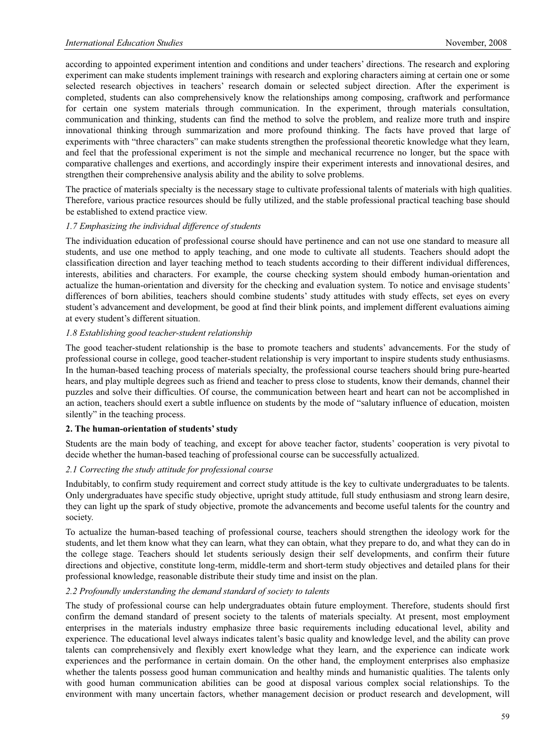according to appointed experiment intention and conditions and under teachers' directions. The research and exploring experiment can make students implement trainings with research and exploring characters aiming at certain one or some selected research objectives in teachers' research domain or selected subject direction. After the experiment is completed, students can also comprehensively know the relationships among composing, craftwork and performance for certain one system materials through communication. In the experiment, through materials consultation, communication and thinking, students can find the method to solve the problem, and realize more truth and inspire innovational thinking through summarization and more profound thinking. The facts have proved that large of experiments with "three characters" can make students strengthen the professional theoretic knowledge what they learn, and feel that the professional experiment is not the simple and mechanical recurrence no longer, but the space with comparative challenges and exertions, and accordingly inspire their experiment interests and innovational desires, and strengthen their comprehensive analysis ability and the ability to solve problems.

The practice of materials specialty is the necessary stage to cultivate professional talents of materials with high qualities. Therefore, various practice resources should be fully utilized, and the stable professional practical teaching base should be established to extend practice view.

## *1.7 Emphasizing the individual difference of students*

The individuation education of professional course should have pertinence and can not use one standard to measure all students, and use one method to apply teaching, and one mode to cultivate all students. Teachers should adopt the classification direction and layer teaching method to teach students according to their different individual differences, interests, abilities and characters. For example, the course checking system should embody human-orientation and actualize the human-orientation and diversity for the checking and evaluation system. To notice and envisage students' differences of born abilities, teachers should combine students' study attitudes with study effects, set eyes on every student's advancement and development, be good at find their blink points, and implement different evaluations aiming at every student's different situation.

## *1.8 Establishing good teacher-student relationship*

The good teacher-student relationship is the base to promote teachers and students' advancements. For the study of professional course in college, good teacher-student relationship is very important to inspire students study enthusiasms. In the human-based teaching process of materials specialty, the professional course teachers should bring pure-hearted hears, and play multiple degrees such as friend and teacher to press close to students, know their demands, channel their puzzles and solve their difficulties. Of course, the communication between heart and heart can not be accomplished in an action, teachers should exert a subtle influence on students by the mode of "salutary influence of education, moisten silently" in the teaching process.

## **2. The human-orientation of students' study**

Students are the main body of teaching, and except for above teacher factor, students' cooperation is very pivotal to decide whether the human-based teaching of professional course can be successfully actualized.

## *2.1 Correcting the study attitude for professional course*

Indubitably, to confirm study requirement and correct study attitude is the key to cultivate undergraduates to be talents. Only undergraduates have specific study objective, upright study attitude, full study enthusiasm and strong learn desire, they can light up the spark of study objective, promote the advancements and become useful talents for the country and society.

To actualize the human-based teaching of professional course, teachers should strengthen the ideology work for the students, and let them know what they can learn, what they can obtain, what they prepare to do, and what they can do in the college stage. Teachers should let students seriously design their self developments, and confirm their future directions and objective, constitute long-term, middle-term and short-term study objectives and detailed plans for their professional knowledge, reasonable distribute their study time and insist on the plan.

# *2.2 Profoundly understanding the demand standard of society to talents*

The study of professional course can help undergraduates obtain future employment. Therefore, students should first confirm the demand standard of present society to the talents of materials specialty. At present, most employment enterprises in the materials industry emphasize three basic requirements including educational level, ability and experience. The educational level always indicates talent's basic quality and knowledge level, and the ability can prove talents can comprehensively and flexibly exert knowledge what they learn, and the experience can indicate work experiences and the performance in certain domain. On the other hand, the employment enterprises also emphasize whether the talents possess good human communication and healthy minds and humanistic qualities. The talents only with good human communication abilities can be good at disposal various complex social relationships. To the environment with many uncertain factors, whether management decision or product research and development, will